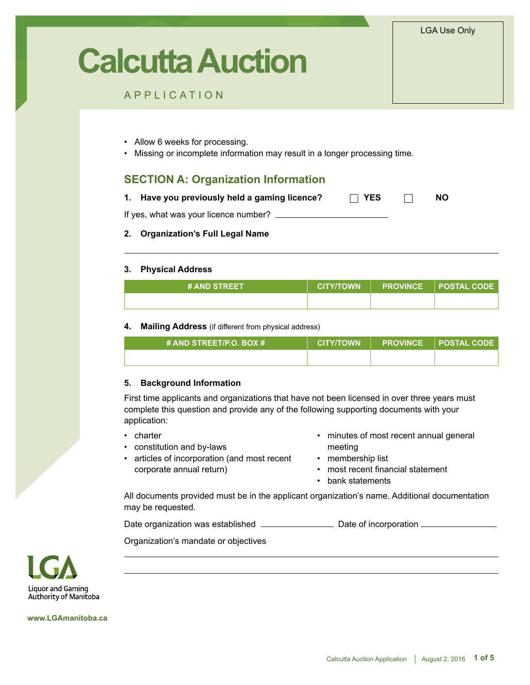LGA Use Only

# **Calcutta Auction**

## APPLICATION

- Allow 6 weeks for processing.
- Missing or incomplete information may result in a longer processing time.

## **SECTION A: Organization Information**

| 1. Have you previously held a gaming licence? | $\Box$ YES |  | <b>NO</b> |
|-----------------------------------------------|------------|--|-----------|
|-----------------------------------------------|------------|--|-----------|

If yes, what was your licence number?

## **2. Organization's Full Legal Name**

#### **3. Physical Address**

| <b># AND STREET</b> | <b>CITY/TOWN</b> | PROVINCE POSTAL CODE |
|---------------------|------------------|----------------------|
|                     |                  |                      |

#### **4. Mailing Address** (if different from physical address)

| # AND STREET/P.O. BOX # | <b>CITY/TOWN</b> | <b>PROVINCE POSTAL CODE</b> |
|-------------------------|------------------|-----------------------------|
|                         |                  |                             |

#### **5. Background Information**

First time applicants and organizations that have not been licensed in over three years must complete this question and provide any of the following supporting documents with your application:

- charter
- constitution and by-laws
- articles of incorporation (and most recent corporate annual return)
- minutes of most recent annual general meeting
- membership list
- most recent financial statement
- bank statements

All documents provided must be in the applicant organization's name. Additional documentation may be requested.

Date organization was established Date of incorporation

Organization's mandate or objectives



**www.LGAmanitoba.ca**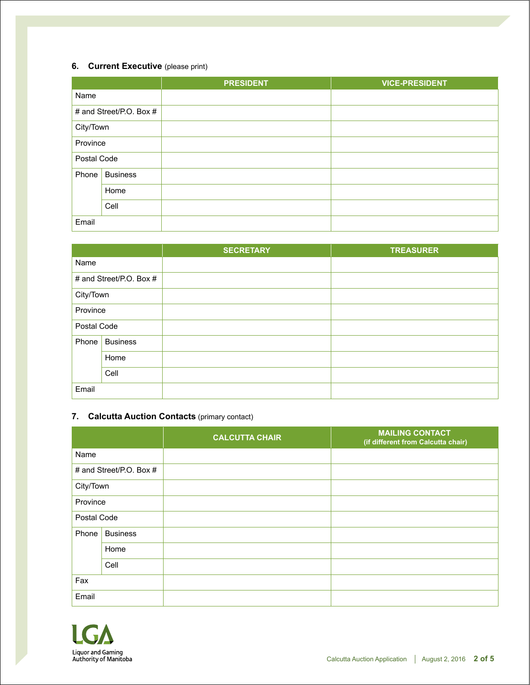## **6. Current Executive** (please print)

|             |                         | <b>PRESIDENT</b> | <b>VICE-PRESIDENT</b> |
|-------------|-------------------------|------------------|-----------------------|
| Name        |                         |                  |                       |
|             | # and Street/P.O. Box # |                  |                       |
| City/Town   |                         |                  |                       |
| Province    |                         |                  |                       |
| Postal Code |                         |                  |                       |
| Phone       | <b>Business</b>         |                  |                       |
|             | Home                    |                  |                       |
|             | Cell                    |                  |                       |
| Email       |                         |                  |                       |

|             |                         | <b>SECRETARY</b> | <b>TREASURER</b> |
|-------------|-------------------------|------------------|------------------|
| Name        |                         |                  |                  |
|             | # and Street/P.O. Box # |                  |                  |
| City/Town   |                         |                  |                  |
| Province    |                         |                  |                  |
| Postal Code |                         |                  |                  |
| Phone       | <b>Business</b>         |                  |                  |
|             | Home                    |                  |                  |
|             | Cell                    |                  |                  |
| Email       |                         |                  |                  |

## **7. Calcutta Auction Contacts** (primary contact)

|             |                         | <b>CALCUTTA CHAIR</b> | <b>MAILING CONTACT</b><br>(if different from Calcutta chair) |
|-------------|-------------------------|-----------------------|--------------------------------------------------------------|
| Name        |                         |                       |                                                              |
|             | # and Street/P.O. Box # |                       |                                                              |
| City/Town   |                         |                       |                                                              |
| Province    |                         |                       |                                                              |
| Postal Code |                         |                       |                                                              |
| Phone       | <b>Business</b>         |                       |                                                              |
|             | Home                    |                       |                                                              |
|             | Cell                    |                       |                                                              |
| Fax         |                         |                       |                                                              |
| Email       |                         |                       |                                                              |

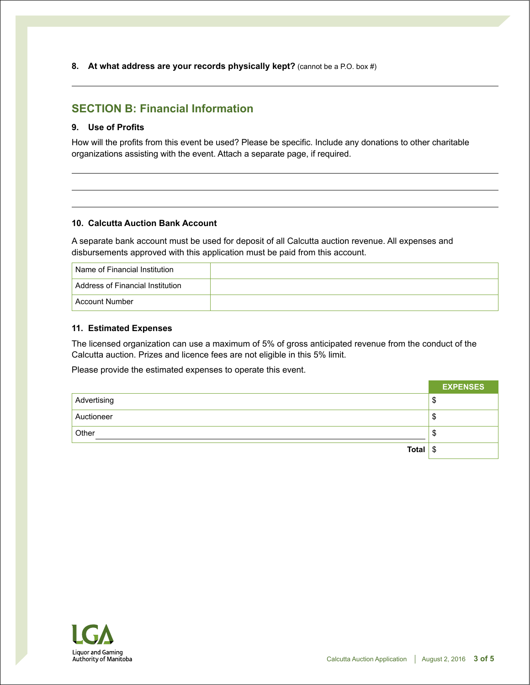**8. At what address are your records physically kept?** (cannot be a P.O. box #)

# **SECTION B: Financial Information**

### **9. Use of Profits**

How will the profits from this event be used? Please be specific. Include any donations to other charitable organizations assisting with the event. Attach a separate page, if required.

#### **10. Calcutta Auction Bank Account**

A separate bank account must be used for deposit of all Calcutta auction revenue. All expenses and disbursements approved with this application must be paid from this account.

| Name of Financial Institution    |  |
|----------------------------------|--|
| Address of Financial Institution |  |
| Account Number                   |  |

#### **11. Estimated Expenses**

The licensed organization can use a maximum of 5% of gross anticipated revenue from the conduct of the Calcutta auction. Prizes and licence fees are not eligible in this 5% limit.

Please provide the estimated expenses to operate this event.

|                  | <b>EXPENSES</b> |
|------------------|-----------------|
| Advertising      | Φ               |
| Auctioneer       | D               |
| Other            | Œ               |
| Total $\sqrt{s}$ |                 |

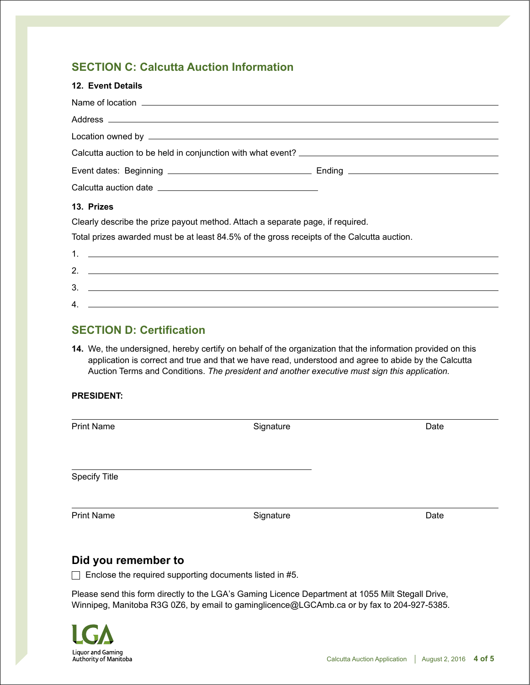# **SECTION C: Calcutta Auction Information**

| <b>12. Event Details</b>                                                                   |  |
|--------------------------------------------------------------------------------------------|--|
|                                                                                            |  |
|                                                                                            |  |
|                                                                                            |  |
|                                                                                            |  |
|                                                                                            |  |
|                                                                                            |  |
| 13. Prizes                                                                                 |  |
| Clearly describe the prize payout method. Attach a separate page, if required.             |  |
| Total prizes awarded must be at least 84.5% of the gross receipts of the Calcutta auction. |  |
|                                                                                            |  |
|                                                                                            |  |
|                                                                                            |  |
|                                                                                            |  |

# **SECTION D: Certification**

**14.** We, the undersigned, hereby certify on behalf of the organization that the information provided on this application is correct and true and that we have read, understood and agree to abide by the Calcutta Auction Terms and Conditions. *The president and another executive must sign this application.*

## **PRESIDENT:**

## **Did you remember to**

 $\Box$  Enclose the required supporting documents listed in #5.

Please send this form directly to the LGA's Gaming Licence Department at 1055 Milt Stegall Drive, Winnipeg, Manitoba R3G 0Z6, by email to gaminglicence@LGCAmb.ca or by fax to 204-927-5385.